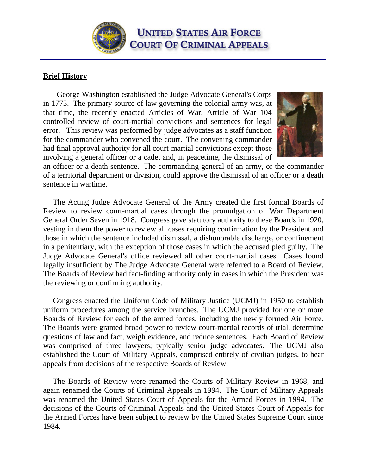**UNITED STATES AIR FORCE COURT OF CRIMINAL APPEALS** 

## **Brief History**

 George Washington established the Judge Advocate General's Corps in 1775. The primary source of law governing the colonial army was, at that time, the recently enacted Articles of War. Article of War 104 controlled review of court-martial convictions and sentences for legal error. This review was performed by judge advocates as a staff function for the commander who convened the court. The convening commander had final approval authority for all court-martial convictions except those involving a general officer or a cadet and, in peacetime, the dismissal of



an officer or a death sentence. The commanding general of an army, or the commander of a territorial department or division, could approve the dismissal of an officer or a death sentence in wartime.

 The Acting Judge Advocate General of the Army created the first formal Boards of Review to review court-martial cases through the promulgation of War Department General Order Seven in 1918. Congress gave statutory authority to these Boards in 1920, vesting in them the power to review all cases requiring confirmation by the President and those in which the sentence included dismissal, a dishonorable discharge, or confinement in a penitentiary, with the exception of those cases in which the accused pled guilty. The Judge Advocate General's office reviewed all other court-martial cases. Cases found legally insufficient by The Judge Advocate General were referred to a Board of Review. The Boards of Review had fact-finding authority only in cases in which the President was the reviewing or confirming authority.

 Congress enacted the Uniform Code of Military Justice (UCMJ) in 1950 to establish uniform procedures among the service branches. The UCMJ provided for one or more Boards of Review for each of the armed forces, including the newly formed Air Force. The Boards were granted broad power to review court-martial records of trial, determine questions of law and fact, weigh evidence, and reduce sentences. Each Board of Review was comprised of three lawyers; typically senior judge advocates. The UCMJ also established the Court of Military Appeals, comprised entirely of civilian judges, to hear appeals from decisions of the respective Boards of Review.

 The Boards of Review were renamed the Courts of Military Review in 1968, and again renamed the Courts of Criminal Appeals in 1994. The Court of Military Appeals was renamed the United States Court of Appeals for the Armed Forces in 1994. The decisions of the Courts of Criminal Appeals and the United States Court of Appeals for the Armed Forces have been subject to review by the United States Supreme Court since 1984.